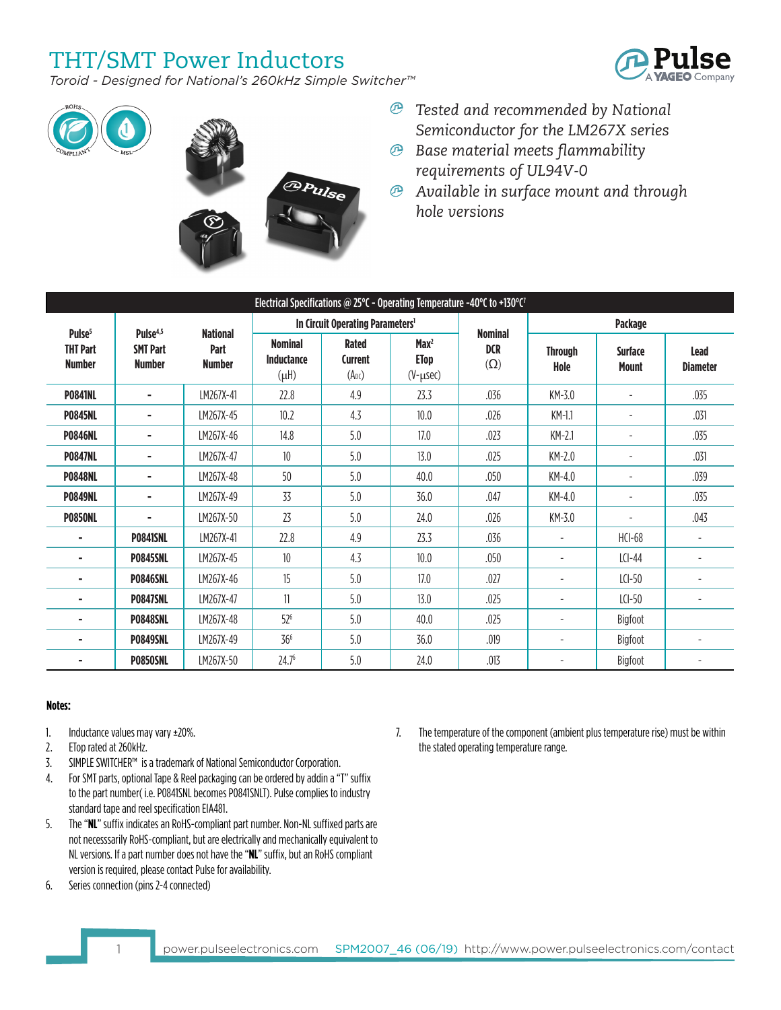# THT/SMT Power Inductors

*Toroid - Designed for National's 260kHz Simple Switcher™*





- *Tested and recommended by National Semiconductor for the LM267X series*
- *Base material meets flammability requirements of UL94V-0*
- *Available in surface mount and through hole versions*

| Electrical Specifications @ 25°C - Operating Temperature -40°C to +130°C <sup>7</sup> |                 |                                                                                                      |                                              |                                              |                                                  |                                            |                        |                                |                         |
|---------------------------------------------------------------------------------------|-----------------|------------------------------------------------------------------------------------------------------|----------------------------------------------|----------------------------------------------|--------------------------------------------------|--------------------------------------------|------------------------|--------------------------------|-------------------------|
|                                                                                       |                 | Pulse <sup>4,5</sup><br><b>National</b><br><b>SMT Part</b><br>Part<br><b>Number</b><br><b>Number</b> | In Circuit Operating Parameters <sup>1</sup> |                                              |                                                  |                                            | Package                |                                |                         |
| Pulse <sup>5</sup><br><b>THT Part</b><br><b>Number</b>                                |                 |                                                                                                      | <b>Nominal</b><br>Inductance<br>$(\mu H)$    | <b>Rated</b><br><b>Current</b><br>$(A_{DC})$ | Max <sup>2</sup><br><b>ETop</b><br>$(V-\mu$ sec) | <b>Nominal</b><br><b>DCR</b><br>$(\Omega)$ | <b>Through</b><br>Hole | <b>Surface</b><br><b>Mount</b> | Lead<br><b>Diameter</b> |
| <b>P0841NL</b>                                                                        | $\blacksquare$  | LM267X-41                                                                                            | 22.8                                         | 4.9                                          | 23.3                                             | .036                                       | KM-3.0                 |                                | .035                    |
| <b>P0845NL</b>                                                                        | $\blacksquare$  | LM267X-45                                                                                            | 10.2                                         | 4.3                                          | 10.0                                             | .026                                       | KM-1.1                 |                                | .031                    |
| <b>P0846NL</b>                                                                        | ۰               | LM267X-46                                                                                            | 14.8                                         | 5.0                                          | 17.0                                             | .023                                       | KM-2.1                 |                                | .035                    |
| <b>P0847NL</b>                                                                        | ٠               | LM267X-47                                                                                            | 10 <sup>10</sup>                             | 5.0                                          | 13.0                                             | .025                                       | KM-2.0                 |                                | .031                    |
| <b>P0848NL</b>                                                                        | ٠               | LM267X-48                                                                                            | 50                                           | 5.0                                          | 40.0                                             | .050                                       | KM-4.0                 |                                | .039                    |
| <b>P0849NL</b>                                                                        | ۰               | LM267X-49                                                                                            | 33                                           | 5.0                                          | 36.0                                             | .047                                       | KM-4.0                 | $\overline{\phantom{a}}$       | .035                    |
| <b>P0850NL</b>                                                                        | ۰               | LM267X-50                                                                                            | 23                                           | 5.0                                          | 24.0                                             | .026                                       | KM-3.0                 |                                | .043                    |
| ۰                                                                                     | <b>P0841SNL</b> | LM267X-41                                                                                            | 22.8                                         | 4.9                                          | 23.3                                             | .036                                       | ÷,                     | $HCI-68$                       |                         |
|                                                                                       | <b>P0845SNL</b> | LM267X-45                                                                                            | 10                                           | 4.3                                          | 10.0                                             | .050                                       | ٠                      | $LCl-44$                       |                         |
|                                                                                       | <b>P0846SNL</b> | LM267X-46                                                                                            | 15                                           | 5.0                                          | 17.0                                             | .027                                       | ۰                      | $LCl-50$                       |                         |
|                                                                                       | <b>P0847SNL</b> | LM267X-47                                                                                            | 11                                           | 5.0                                          | 13.0                                             | .025                                       |                        | $LCl-50$                       |                         |
|                                                                                       | <b>P0848SNL</b> | LM267X-48                                                                                            | 52 <sup>6</sup>                              | 5.0                                          | 40.0                                             | .025                                       |                        | Bigfoot                        |                         |
|                                                                                       | <b>P0849SNL</b> | LM267X-49                                                                                            | 366                                          | 5.0                                          | 36.0                                             | .019                                       |                        | Bigfoot                        |                         |
|                                                                                       | PO850SNL        | LM267X-50                                                                                            | 24.76                                        | 5.0                                          | 24.0                                             | .013                                       |                        | Bigfoot                        |                         |

#### **Notes:**

- 1. Inductance values may vary  $\pm 20\%$ .
- 2. ETop rated at 260kHz.
- 3. SIMPLE SWITCHER™ is a trademark of National Semiconductor Corporation.
- 4. For SMT parts, optional Tape & Reel packaging can be ordered by addin a "T" suffix to the part number( i.e. P0841SNL becomes P0841SNLT). Pulse complies to industry standard tape and reel specification EIA481.
- 5. The "**NL**" suffix indicates an RoHS-compliant part number. Non-NL suffixed parts are not necesssarily RoHS-compliant, but are electrically and mechanically equivalent to NL versions. If a part number does not have the "**NL**" suffix, but an RoHS compliant version is required, please contact Pulse for availability.
- 6. Series connection (pins 2-4 connected)

7. The temperature of the component (ambient plus temperature rise) must be within the stated operating temperature range.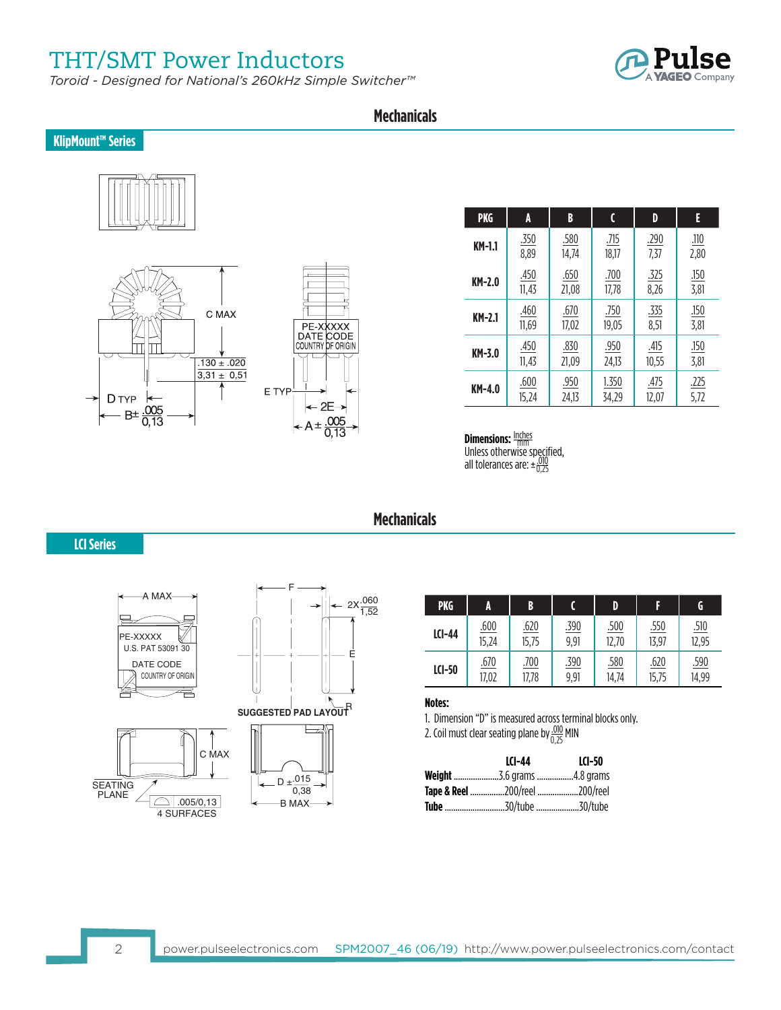## THT/SMT Power Inductors

*Toroid - Designed for National's 260kHz Simple Switcher™*



### **Mechanicals**



**KlipMount™ Series**





| <b>PKG</b>    | A             | B             | C              | D             | E            |
|---------------|---------------|---------------|----------------|---------------|--------------|
| KM-1.1        | .350<br>8,89  | .580<br>14,74 | .715<br>18,17  | .290<br>7,37  | .110<br>2,80 |
| <b>KM-2.0</b> | .450<br>11,43 | .650<br>21.08 | .700<br>17,78  | .325<br>8,26  | .150<br>3,81 |
| KM-2.1        | .460<br>11,69 | .670<br>17,02 | .750<br>19,05  | .335<br>8,51  | .150<br>3,81 |
| KM-3.0        | .450<br>11,43 | .830<br>21,09 | .950<br>24.13  | .415<br>10,55 | .150<br>3,81 |
| KM-4.0        | .600<br>15,24 | .950<br>24,13 | 1.350<br>34.29 | .475<br>12,07 | .225<br>5,72 |

**Dimensions:**  $\frac{\text{Inches}}{\text{mm}}$ 

Unless otherwise specified, all tolerances are:  $\pm \frac{010}{0.25}$ 

### **Mechanicals**

### **LCI Series**

SEATING PLANE



4 SURFACES  $\boxed{\bigcirc}$  .005/0,13



|  | <b>PKG</b>    | A             | B             |              | D             |               | G             |
|--|---------------|---------------|---------------|--------------|---------------|---------------|---------------|
|  | $LCl-44$      | .600<br>15,24 | .620<br>15,75 | .390<br>9,91 | .500<br>12,70 | .550<br>13,97 | .510<br>12,95 |
|  | <b>LCI-50</b> | .670<br>17,02 | .700<br>17,78 | .390<br>9,91 | .580<br>14,74 | .620<br>15,75 | .590<br>14,99 |

#### **Notes:**

1. Dimension "D" is measured across terminal blocks only. 2. Coil must clear seating plane by $\frac{.010}{0.25}$  MIN

| LCI-44                            | LCI-50 |
|-----------------------------------|--------|
| <b>Weight</b> 3.6 grams 4.8 grams |        |
| Tape & Reel 200/reel 200/reel     |        |
| <b>Tube</b> 30/tube 30/tube       |        |